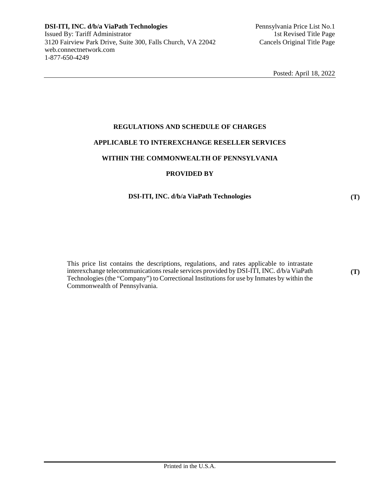# **REGULATIONS AND SCHEDULE OF CHARGES**

#### **APPLICABLE TO INTEREXCHANGE RESELLER SERVICES**

# **WITHIN THE COMMONWEALTH OF PENNSYLVANIA**

## **PROVIDED BY**

# **DSI-ITI, INC. d/b/a ViaPath Technologies**

This price list contains the descriptions, regulations, and rates applicable to intrastate interexchange telecommunications resale services provided by DSI-ITI, INC. d/b/a ViaPath Technologies (the "Company") to Correctional Institutions for use by Inmates by within the Commonwealth of Pennsylvania.

**(T)** 

**(T)**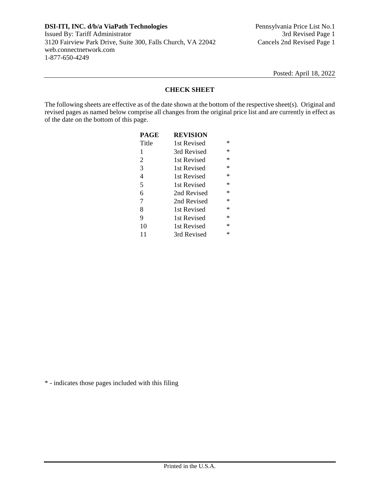# **CHECK SHEET**

The following sheets are effective as of the date shown at the bottom of the respective sheet(s). Original and revised pages as named below comprise all changes from the original price list and are currently in effect as of the date on the bottom of this page.

| <b>PAGE</b> | <b>REVISION</b> |           |
|-------------|-----------------|-----------|
| Title       | 1st Revised     | ∗         |
| 1           | 3rd Revised     | ∗         |
| 2           | 1st Revised     | ∗         |
| 3           | 1st Revised     | ∗         |
| 4           | 1st Revised     | ∗         |
| 5           | 1st Revised     | ∗         |
| 6           | 2nd Revised     | ∗         |
| 7           | 2nd Revised     | ∗         |
| 8           | 1st Revised     | ∗         |
| 9           | 1st Revised     | ∗         |
| 10          | 1st Revised     | $^{\ast}$ |
| 11          | 3rd Revised     | ∗         |

\* - indicates those pages included with this filing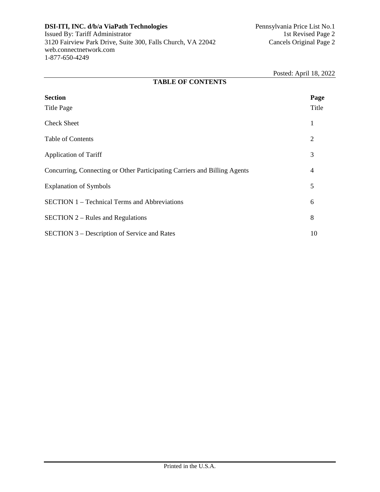|                                                                           | $1$ Osicu. $\Delta$ phil $10, 20$ |  |  |  |
|---------------------------------------------------------------------------|-----------------------------------|--|--|--|
| <b>TABLE OF CONTENTS</b>                                                  |                                   |  |  |  |
| <b>Section</b><br><b>Title Page</b>                                       | Page<br>Title                     |  |  |  |
| <b>Check Sheet</b>                                                        | 1                                 |  |  |  |
| <b>Table of Contents</b>                                                  | $\overline{2}$                    |  |  |  |
| <b>Application of Tariff</b>                                              | 3                                 |  |  |  |
| Concurring, Connecting or Other Participating Carriers and Billing Agents | 4                                 |  |  |  |
| <b>Explanation of Symbols</b>                                             | 5                                 |  |  |  |
| <b>SECTION 1 – Technical Terms and Abbreviations</b>                      | 6                                 |  |  |  |
| $SECTION 2 - Rules and Regulations$                                       | 8                                 |  |  |  |
| SECTION 3 – Description of Service and Rates                              | 10                                |  |  |  |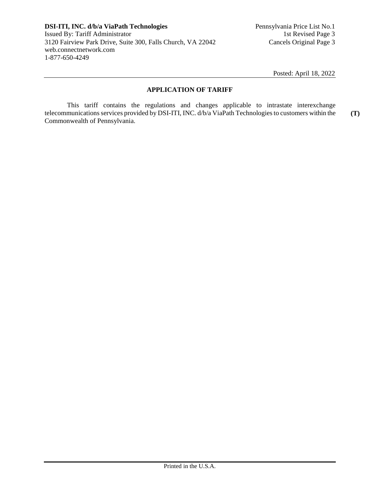# **APPLICATION OF TARIFF**

This tariff contains the regulations and changes applicable to intrastate interexchange telecommunications services provided by DSI-ITI, INC. d/b/a ViaPath Technologies to customers within the Commonwealth of Pennsylvania. **(T)**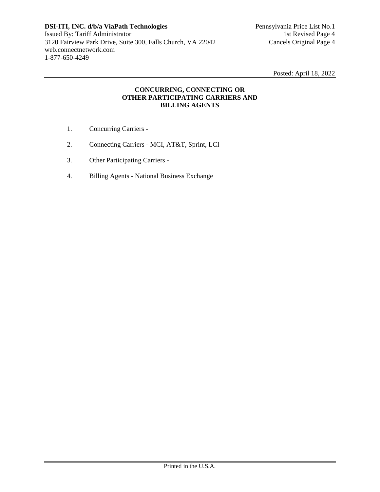# **CONCURRING, CONNECTING OR OTHER PARTICIPATING CARRIERS AND BILLING AGENTS**

- 1. Concurring Carriers -
- 2. Connecting Carriers MCI, AT&T, Sprint, LCI
- 3. Other Participating Carriers -
- 4. Billing Agents National Business Exchange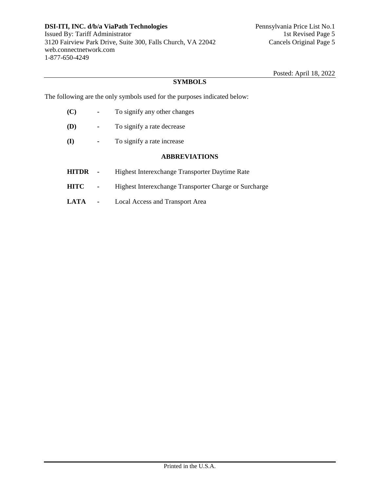# **SYMBOLS**

The following are the only symbols used for the purposes indicated below:

- **(C) -** To signify any other changes **(D) -** To signify a rate decrease **(I) -** To signify a rate increase **ABBREVIATIONS HITDR -** Highest Interexchange Transporter Daytime Rate **HITC -** Highest Interexchange Transporter Charge or Surcharge
- **LATA -** Local Access and Transport Area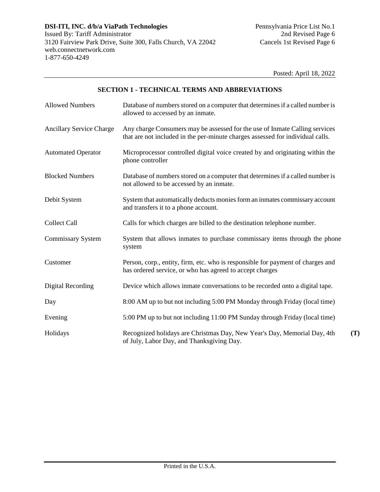**(T)** 

# **SECTION 1 - TECHNICAL TERMS AND ABBREVIATIONS**

| <b>Allowed Numbers</b>          | Database of numbers stored on a computer that determines if a called number is<br>allowed to accessed by an inmate.                                           |
|---------------------------------|---------------------------------------------------------------------------------------------------------------------------------------------------------------|
| <b>Ancillary Service Charge</b> | Any charge Consumers may be assessed for the use of Inmate Calling services<br>that are not included in the per-minute charges assessed for individual calls. |
| <b>Automated Operator</b>       | Microprocessor controlled digital voice created by and originating within the<br>phone controller                                                             |
| <b>Blocked Numbers</b>          | Database of numbers stored on a computer that determines if a called number is<br>not allowed to be accessed by an inmate.                                    |
| Debit System                    | System that automatically deducts monies form an inmates commissary account<br>and transfers it to a phone account.                                           |
| <b>Collect Call</b>             | Calls for which charges are billed to the destination telephone number.                                                                                       |
| Commissary System               | System that allows inmates to purchase commissary items through the phone<br>system                                                                           |
| Customer                        | Person, corp., entity, firm, etc. who is responsible for payment of charges and<br>has ordered service, or who has agreed to accept charges                   |
| <b>Digital Recording</b>        | Device which allows inmate conversations to be recorded onto a digital tape.                                                                                  |
| Day                             | 8:00 AM up to but not including 5:00 PM Monday through Friday (local time)                                                                                    |
| Evening                         | 5:00 PM up to but not including 11:00 PM Sunday through Friday (local time)                                                                                   |
| Holidays                        | Recognized holidays are Christmas Day, New Year's Day, Memorial Day, 4th<br>of July, Labor Day, and Thanksgiving Day.                                         |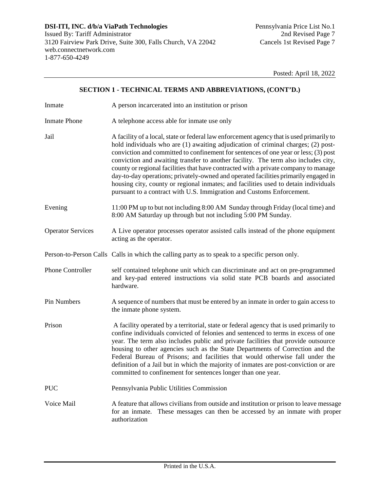# **SECTION 1 - TECHNICAL TERMS AND ABBREVIATIONS, (CONT'D.)**

| Inmate                   | A person incarcerated into an institution or prison                                                                                                                                                                                                                                                                                                                                                                                                                                                                                                                                                                                                                                                      |
|--------------------------|----------------------------------------------------------------------------------------------------------------------------------------------------------------------------------------------------------------------------------------------------------------------------------------------------------------------------------------------------------------------------------------------------------------------------------------------------------------------------------------------------------------------------------------------------------------------------------------------------------------------------------------------------------------------------------------------------------|
| <b>Inmate Phone</b>      | A telephone access able for inmate use only                                                                                                                                                                                                                                                                                                                                                                                                                                                                                                                                                                                                                                                              |
| Jail                     | A facility of a local, state or federal law enforcement agency that is used primarily to<br>hold individuals who are (1) awaiting adjudication of criminal charges; (2) post-<br>conviction and committed to confinement for sentences of one year or less; (3) post<br>conviction and awaiting transfer to another facility. The term also includes city,<br>county or regional facilities that have contracted with a private company to manage<br>day-to-day operations; privately-owned and operated facilities primarily engaged in<br>housing city, county or regional inmates; and facilities used to detain individuals<br>pursuant to a contract with U.S. Immigration and Customs Enforcement. |
| Evening                  | 11:00 PM up to but not including 8:00 AM Sunday through Friday (local time) and<br>8:00 AM Saturday up through but not including 5:00 PM Sunday.                                                                                                                                                                                                                                                                                                                                                                                                                                                                                                                                                         |
| <b>Operator Services</b> | A Live operator processes operator assisted calls instead of the phone equipment<br>acting as the operator.                                                                                                                                                                                                                                                                                                                                                                                                                                                                                                                                                                                              |
|                          | Person-to-Person Calls Calls in which the calling party as to speak to a specific person only.                                                                                                                                                                                                                                                                                                                                                                                                                                                                                                                                                                                                           |
| <b>Phone Controller</b>  | self contained telephone unit which can discriminate and act on pre-programmed<br>and key-pad entered instructions via solid state PCB boards and associated<br>hardware.                                                                                                                                                                                                                                                                                                                                                                                                                                                                                                                                |
| Pin Numbers              | A sequence of numbers that must be entered by an inmate in order to gain access to<br>the inmate phone system.                                                                                                                                                                                                                                                                                                                                                                                                                                                                                                                                                                                           |
| Prison                   | A facility operated by a territorial, state or federal agency that is used primarily to<br>confine individuals convicted of felonies and sentenced to terms in excess of one<br>year. The term also includes public and private facilities that provide outsource<br>housing to other agencies such as the State Departments of Correction and the<br>Federal Bureau of Prisons; and facilities that would otherwise fall under the<br>definition of a Jail but in which the majority of inmates are post-conviction or are<br>committed to confinement for sentences longer than one year.                                                                                                              |
| <b>PUC</b>               | Pennsylvania Public Utilities Commission                                                                                                                                                                                                                                                                                                                                                                                                                                                                                                                                                                                                                                                                 |
| Voice Mail               | A feature that allows civilians from outside and institution or prison to leave message<br>for an inmate. These messages can then be accessed by an inmate with proper<br>authorization                                                                                                                                                                                                                                                                                                                                                                                                                                                                                                                  |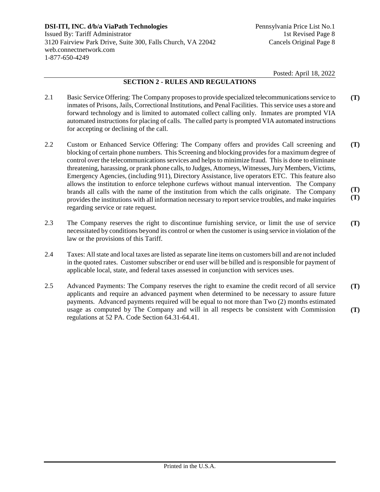# **SECTION 2 - RULES AND REGULATIONS**

- 2.1 Basic Service Offering: The Company proposes to provide specialized telecommunications service to inmates of Prisons, Jails, Correctional Institutions, and Penal Facilities. This service uses a store and forward technology and is limited to automated collect calling only. Inmates are prompted VIA automated instructions for placing of calls. The called party is prompted VIA automated instructions for accepting or declining of the call. **(T)**
- 2.2 Custom or Enhanced Service Offering: The Company offers and provides Call screening and blocking of certain phone numbers. This Screening and blocking provides for a maximum degree of control over the telecommunications services and helps to minimize fraud. This is done to eliminate threatening, harassing, or prank phone calls, to Judges, Attorneys, Witnesses, Jury Members, Victims, Emergency Agencies, (including 911), Directory Assistance, live operators ETC. This feature also allows the institution to enforce telephone curfews without manual intervention. The Company brands all calls with the name of the institution from which the calls originate. The Company provides the institutions with all information necessary to report service troubles, and make inquiries regarding service or rate request. **(T) (T) (T)**
- 2.3 The Company reserves the right to discontinue furnishing service, or limit the use of service necessitated by conditions beyond its control or when the customer is using service in violation of the law or the provisions of this Tariff. **(T)**
- 2.4 Taxes: All state and local taxes are listed as separate line items on customers bill and are not included in the quoted rates. Customer subscriber or end user will be billed and is responsible for payment of applicable local, state, and federal taxes assessed in conjunction with services uses.
- 2.5 Advanced Payments: The Company reserves the right to examine the credit record of all service applicants and require an advanced payment when determined to be necessary to assure future payments. Advanced payments required will be equal to not more than Two (2) months estimated usage as computed by The Company and will in all respects be consistent with Commission regulations at 52 PA. Code Section 64.31-64.41. **(T) (T)**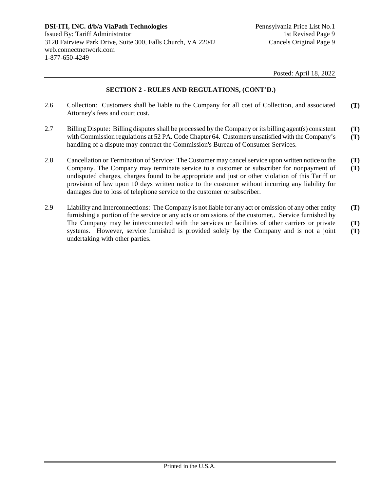## **SECTION 2 - RULES AND REGULATIONS, (CONT'D.)**

- 2.6 Collection: Customers shall be liable to the Company for all cost of Collection, and associated Attorney's fees and court cost. **(T)**
- 2.7 Billing Dispute: Billing disputes shall be processed by the Company or its billing agent(s) consistent with Commission regulations at 52 PA. Code Chapter 64. Customers unsatisfied with the Company's handling of a dispute may contract the Commission's Bureau of Consumer Services. **(T) (T)**
- 2.8 Cancellation or Termination of Service: The Customer may cancel service upon written notice to the Company. The Company may terminate service to a customer or subscriber for nonpayment of undisputed charges, charges found to be appropriate and just or other violation of this Tariff or provision of law upon 10 days written notice to the customer without incurring any liability for damages due to loss of telephone service to the customer or subscriber. **(T) (T)**
- 2.9 Liability and Interconnections: The Company is not liable for any act or omission of any other entity furnishing a portion of the service or any acts or omissions of the customer,. Service furnished by The Company may be interconnected with the services or facilities of other carriers or private systems. However, service furnished is provided solely by the Company and is not a joint undertaking with other parties. **(T) (T) (T)**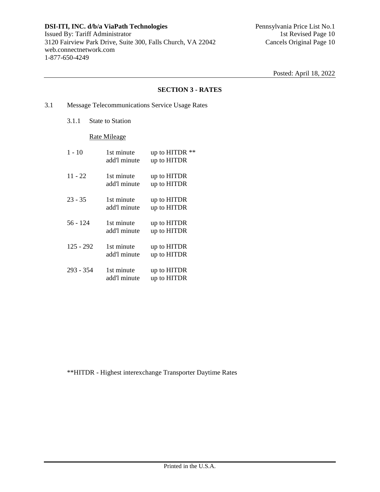#### **SECTION 3 - RATES**

- 3.1 Message Telecommunications Service Usage Rates
	- 3.1.1 State to Station

#### Rate Mileage

| $1 - 10$    | 1st minute<br>add'l minute | up to HITDR **<br>up to HITDR |
|-------------|----------------------------|-------------------------------|
| $11 - 22$   | 1st minute<br>add'l minute | up to HITDR<br>up to HITDR    |
| $23 - 35$   | 1st minute<br>add'l minute | up to HITDR<br>up to HITDR    |
| 56 - 124    | 1st minute<br>add'l minute | up to HITDR<br>up to HITDR    |
| $125 - 292$ | 1st minute<br>add'l minute | up to HITDR<br>up to HITDR    |
| $293 - 354$ | 1st minute<br>add'l minute | up to HITDR<br>up to HITDR    |

\*\*HITDR - Highest interexchange Transporter Daytime Rates